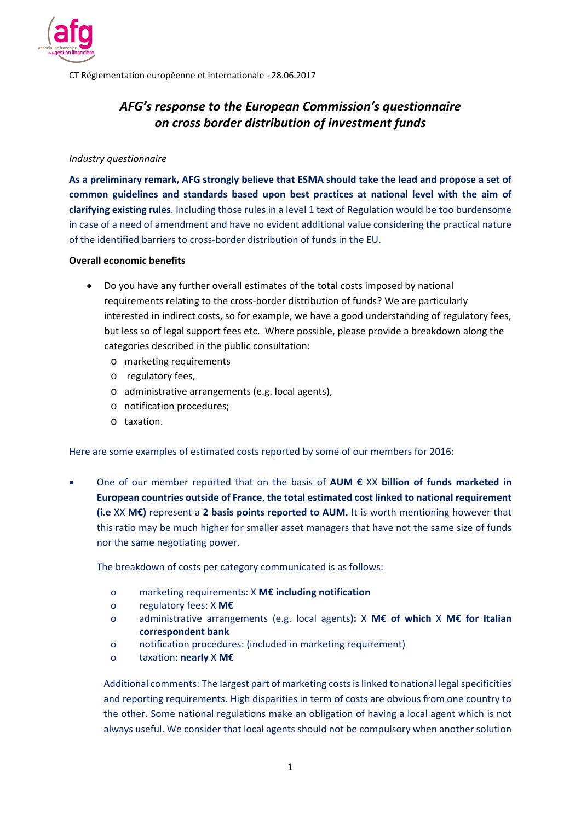

CT Réglementation européenne et internationale ‐ 28.06.2017

# *AFG's response to the European Commission's questionnaire on cross border distribution of investment funds*

#### *Industry questionnaire*

**As a preliminary remark, AFG strongly believe that ESMA should take the lead and propose a set of common guidelines and standards based upon best practices at national level with the aim of clarifying existing rules**. Including those rules in a level 1 text of Regulation would be too burdensome in case of a need of amendment and have no evident additional value considering the practical nature of the identified barriers to cross‐border distribution of funds in the EU.

#### **Overall economic benefits**

- Do you have any further overall estimates of the total costs imposed by national requirements relating to the cross‐border distribution of funds? We are particularly interested in indirect costs, so for example, we have a good understanding of regulatory fees, but less so of legal support fees etc. Where possible, please provide a breakdown along the categories described in the public consultation:
	- o marketing requirements
	- o regulatory fees,
	- o administrative arrangements (e.g. local agents),
	- o notification procedures;
	- o taxation.

Here are some examples of estimated costs reported by some of our members for 2016:

 One of our member reported that on the basis of **AUM €** XX **billion of funds marketed in European countries outside of France**, **the total estimated cost linked to national requirement (i.e** XX **M€)** represent a **2 basis points reported to AUM.** It is worth mentioning however that this ratio may be much higher for smaller asset managers that have not the same size of funds nor the same negotiating power.

The breakdown of costs per category communicated is as follows:

- o marketing requirements: X **M€ including notification**
- o regulatory fees: X **M€**
- o administrative arrangements (e.g. local agents**):**  X **M€ of which**  X **M€ for Italian correspondent bank**
- o notification procedures: (included in marketing requirement)
- o taxation: **nearly** X **M€**

Additional comments: The largest part of marketing costs is linked to national legal specificities and reporting requirements. High disparities in term of costs are obvious from one country to the other. Some national regulations make an obligation of having a local agent which is not always useful. We consider that local agents should not be compulsory when another solution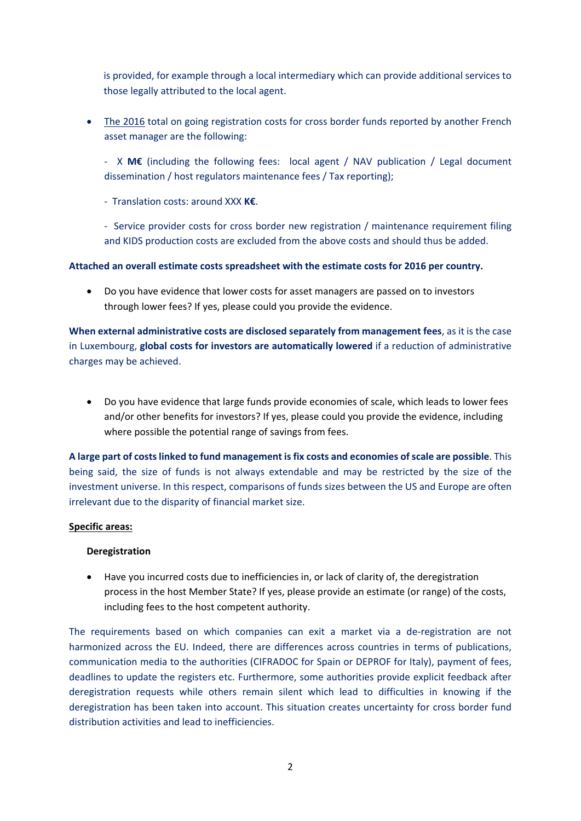is provided, for example through a local intermediary which can provide additional services to those legally attributed to the local agent.

• The 2016 total on going registration costs for cross border funds reported by another French asset manager are the following:

‐ X **M€** (including the following fees: local agent / NAV publication / Legal document dissemination / host regulators maintenance fees / Tax reporting);

‐ Translation costs: around XXX **K€**.

‐ Service provider costs for cross border new registration / maintenance requirement filing and KIDS production costs are excluded from the above costs and should thus be added.

## **Attached an overall estimate costs spreadsheet with the estimate costs for 2016 per country.**

 Do you have evidence that lower costs for asset managers are passed on to investors through lower fees? If yes, please could you provide the evidence.

**When external administrative costs are disclosed separately from management fees**, as it is the case in Luxembourg, **global costs for investors are automatically lowered** if a reduction of administrative charges may be achieved.

 Do you have evidence that large funds provide economies of scale, which leads to lower fees and/or other benefits for investors? If yes, please could you provide the evidence, including where possible the potential range of savings from fees.

**A large part of costs linked to fund management is fix costs and economies of scale are possible**. This being said, the size of funds is not always extendable and may be restricted by the size of the investment universe. In this respect, comparisons of funds sizes between the US and Europe are often irrelevant due to the disparity of financial market size.

## **Specific areas:**

## **Deregistration**

 Have you incurred costs due to inefficiencies in, or lack of clarity of, the deregistration process in the host Member State? If yes, please provide an estimate (or range) of the costs, including fees to the host competent authority.

The requirements based on which companies can exit a market via a de-registration are not harmonized across the EU. Indeed, there are differences across countries in terms of publications, communication media to the authorities (CIFRADOC for Spain or DEPROF for Italy), payment of fees, deadlines to update the registers etc. Furthermore, some authorities provide explicit feedback after deregistration requests while others remain silent which lead to difficulties in knowing if the deregistration has been taken into account. This situation creates uncertainty for cross border fund distribution activities and lead to inefficiencies.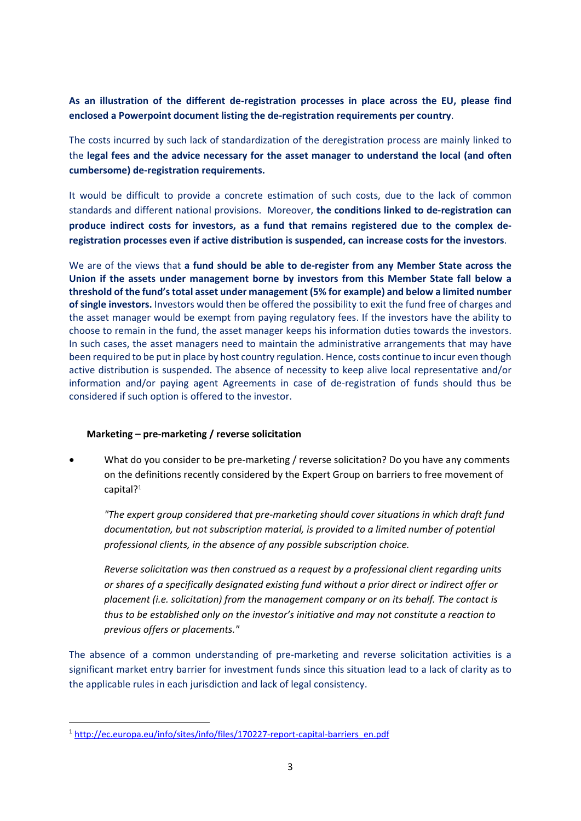# **As an illustration of the different de‐registration processes in place across the EU, please find enclosed a Powerpoint document listing the de‐registration requirements per country**.

The costs incurred by such lack of standardization of the deregistration process are mainly linked to the **legal fees and the advice necessary for the asset manager to understand the local (and often cumbersome) de‐registration requirements.**

It would be difficult to provide a concrete estimation of such costs, due to the lack of common standards and different national provisions. Moreover, **the conditions linked to de‐registration can produce indirect costs for investors, as a fund that remains registered due to the complex de‐ registration processes even if active distribution is suspended, can increase costs for the investors**.

We are of the views that **a fund should be able to de-register from any Member State across the Union if the assets under management borne by investors from this Member State fall below a threshold of the fund's total asset under management (5% for example) and below a limited number of single investors.** Investors would then be offered the possibility to exit the fund free of charges and the asset manager would be exempt from paying regulatory fees. If the investors have the ability to choose to remain in the fund, the asset manager keeps his information duties towards the investors. In such cases, the asset managers need to maintain the administrative arrangements that may have been required to be put in place by host country regulation. Hence, costs continue to incur even though active distribution is suspended. The absence of necessity to keep alive local representative and/or information and/or paying agent Agreements in case of de-registration of funds should thus be considered if such option is offered to the investor.

## **Marketing – pre‐marketing / reverse solicitation**

What do you consider to be pre-marketing / reverse solicitation? Do you have any comments on the definitions recently considered by the Expert Group on barriers to free movement of capital?<sup>1</sup>

*"The expert group considered that pre‐marketing should cover situations in which draft fund documentation, but not subscription material, is provided to a limited number of potential professional clients, in the absence of any possible subscription choice.*

*Reverse solicitation was then construed as a request by a professional client regarding units or shares of a specifically designated existing fund without a prior direct or indirect offer or placement (i.e. solicitation) from the management company or on its behalf. The contact is thus to be established only on the investor's initiative and may not constitute a reaction to previous offers or placements."*

The absence of a common understanding of pre-marketing and reverse solicitation activities is a significant market entry barrier for investment funds since this situation lead to a lack of clarity as to the applicable rules in each jurisdiction and lack of legal consistency.

<sup>1</sup> http://ec.europa.eu/info/sites/info/files/170227‐report‐capital‐barriers\_en.pdf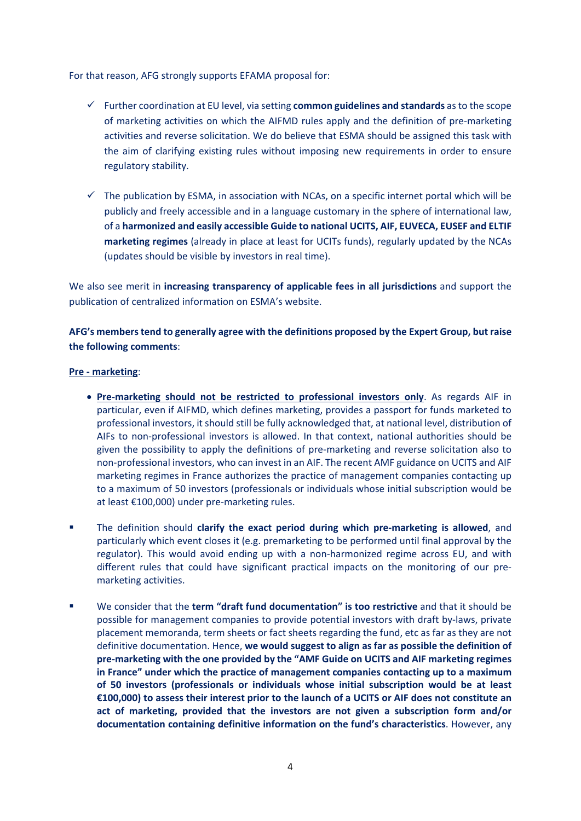For that reason, AFG strongly supports EFAMA proposal for:

- $\checkmark$  Further coordination at EU level, via setting **common guidelines and standards** as to the scope of marketing activities on which the AIFMD rules apply and the definition of pre‐marketing activities and reverse solicitation. We do believe that ESMA should be assigned this task with the aim of clarifying existing rules without imposing new requirements in order to ensure regulatory stability.
- $\checkmark$  The publication by ESMA, in association with NCAs, on a specific internet portal which will be publicly and freely accessible and in a language customary in the sphere of international law, of a **harmonized and easily accessible Guide to national UCITS, AIF, EUVECA, EUSEF and ELTIF marketing regimes** (already in place at least for UCITs funds), regularly updated by the NCAs (updates should be visible by investors in real time).

We also see merit in **increasing transparency of applicable fees in all jurisdictions** and support the publication of centralized information on ESMA's website.

**AFG's members tend to generally agree with the definitions proposed by the Expert Group, but raise the following comments**:

## **Pre ‐ marketing**:

- **Pre‐marketing should not be restricted to professional investors only**. As regards AIF in particular, even if AIFMD, which defines marketing, provides a passport for funds marketed to professional investors, it should still be fully acknowledged that, at national level, distribution of AIFs to non‐professional investors is allowed. In that context, national authorities should be given the possibility to apply the definitions of pre-marketing and reverse solicitation also to non‐professional investors, who can invest in an AIF. The recent AMF guidance on UCITS and AIF marketing regimes in France authorizes the practice of management companies contacting up to a maximum of 50 investors (professionals or individuals whose initial subscription would be at least €100,000) under pre‐marketing rules.
- The definition should **clarify the exact period during which pre-marketing is allowed**, and particularly which event closes it (e.g. premarketing to be performed until final approval by the regulator). This would avoid ending up with a non-harmonized regime across EU, and with different rules that could have significant practical impacts on the monitoring of our premarketing activities.
- We consider that the **term "draft fund documentation" is too restrictive** and that it should be possible for management companies to provide potential investors with draft by-laws, private placement memoranda, term sheets or fact sheets regarding the fund, etc as far as they are not definitive documentation. Hence, **we would suggest to align as far as possible the definition of pre‐marketing with the one provided by the "AMF Guide on UCITS and AIF marketing regimes in France" under which the practice of management companies contacting up to a maximum of 50 investors (professionals or individuals whose initial subscription would be at least €100,000) to assess their interest prior to the launch of a UCITS or AIF does not constitute an act of marketing, provided that the investors are not given a subscription form and/or documentation containing definitive information on the fund's characteristics**. However, any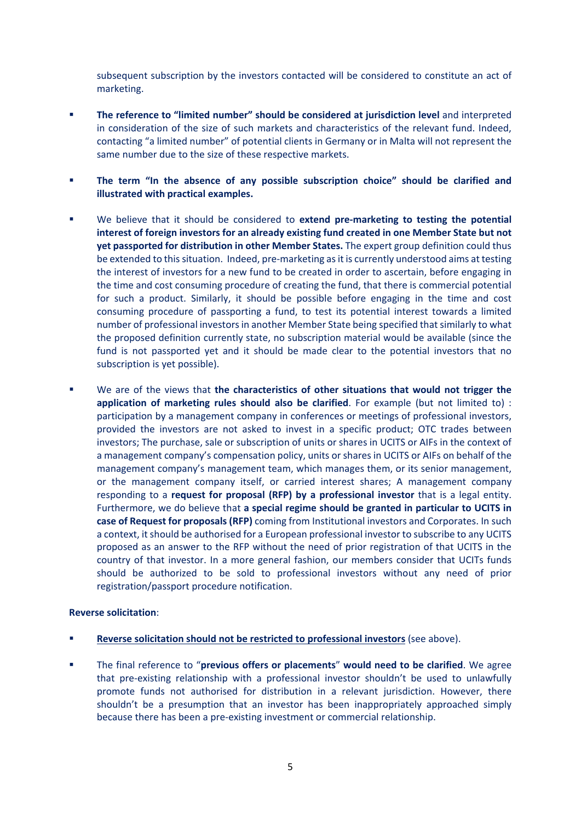subsequent subscription by the investors contacted will be considered to constitute an act of marketing.

- **The reference to "limited number" should be considered at jurisdiction level** and interpreted in consideration of the size of such markets and characteristics of the relevant fund. Indeed, contacting "a limited number" of potential clients in Germany or in Malta will not represent the same number due to the size of these respective markets.
- **The term "In the absence of any possible subscription choice" should be clarified and illustrated with practical examples.**
- We believe that it should be considered to extend pre-marketing to testing the potential **interest of foreign investors for an already existing fund created in one Member State but not yet passported for distribution in other Member States.** The expert group definition could thus be extended to this situation. Indeed, pre-marketing as it is currently understood aims at testing the interest of investors for a new fund to be created in order to ascertain, before engaging in the time and cost consuming procedure of creating the fund, that there is commercial potential for such a product. Similarly, it should be possible before engaging in the time and cost consuming procedure of passporting a fund, to test its potential interest towards a limited number of professional investors in another Member State being specified that similarly to what the proposed definition currently state, no subscription material would be available (since the fund is not passported yet and it should be made clear to the potential investors that no subscription is yet possible).
- We are of the views that **the characteristics of other situations that would not trigger the application of marketing rules should also be clarified**. For example (but not limited to) : participation by a management company in conferences or meetings of professional investors, provided the investors are not asked to invest in a specific product; OTC trades between investors; The purchase, sale or subscription of units or shares in UCITS or AIFs in the context of a management company's compensation policy, units or shares in UCITS or AIFs on behalf of the management company's management team, which manages them, or its senior management, or the management company itself, or carried interest shares; A management company responding to a **request for proposal (RFP) by a professional investor** that is a legal entity. Furthermore, we do believe that **a special regime should be granted in particular to UCITS in case of Request for proposals (RFP)** coming from Institutional investors and Corporates. In such a context, it should be authorised for a European professional investor to subscribe to any UCITS proposed as an answer to the RFP without the need of prior registration of that UCITS in the country of that investor. In a more general fashion, our members consider that UCITs funds should be authorized to be sold to professional investors without any need of prior registration/passport procedure notification.

## **Reverse solicitation**:

- **Reverse solicitation should not be restricted to professional investors** (see above).
- The final reference to "**previous offers or placements**" **would need to be clarified**. We agree that pre‐existing relationship with a professional investor shouldn't be used to unlawfully promote funds not authorised for distribution in a relevant jurisdiction. However, there shouldn't be a presumption that an investor has been inappropriately approached simply because there has been a pre‐existing investment or commercial relationship.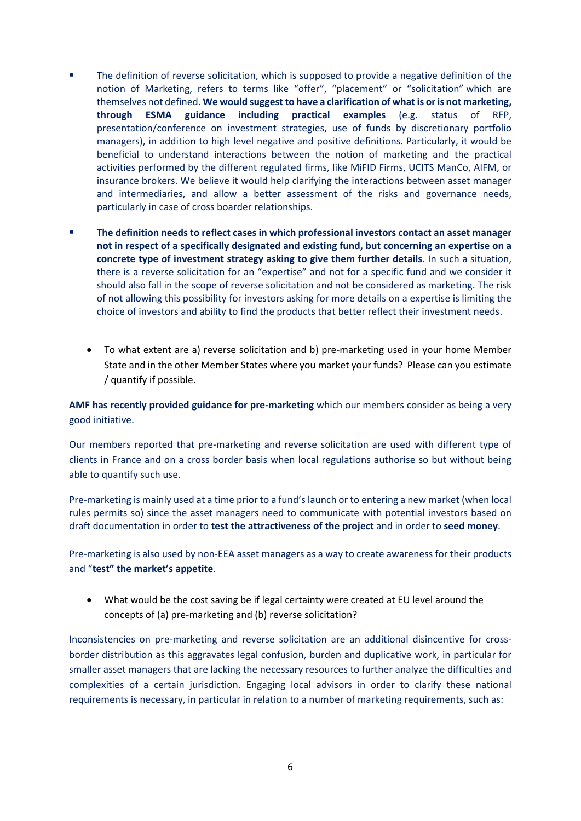- The definition of reverse solicitation, which is supposed to provide a negative definition of the notion of Marketing, refers to terms like "offer", "placement" or "solicitation" which are themselves not defined. **We would suggest to have a clarification of what is or is not marketing, through ESMA guidance including practical examples** (e.g. status of RFP, presentation/conference on investment strategies, use of funds by discretionary portfolio managers), in addition to high level negative and positive definitions. Particularly, it would be beneficial to understand interactions between the notion of marketing and the practical activities performed by the different regulated firms, like MiFID Firms, UCITS ManCo, AIFM, or insurance brokers. We believe it would help clarifying the interactions between asset manager and intermediaries, and allow a better assessment of the risks and governance needs, particularly in case of cross boarder relationships.
- **The definition needs to reflect cases in which professional investors contact an asset manager not in respect of a specifically designated and existing fund, but concerning an expertise on a concrete type of investment strategy asking to give them further details**. In such a situation, there is a reverse solicitation for an "expertise" and not for a specific fund and we consider it should also fall in the scope of reverse solicitation and not be considered as marketing. The risk of not allowing this possibility for investors asking for more details on a expertise is limiting the choice of investors and ability to find the products that better reflect their investment needs.
	- To what extent are a) reverse solicitation and b) pre‐marketing used in your home Member State and in the other Member States where you market your funds? Please can you estimate / quantify if possible.

**AMF has recently provided guidance for pre‐marketing** which our members consider as being a very good initiative.

Our members reported that pre-marketing and reverse solicitation are used with different type of clients in France and on a cross border basis when local regulations authorise so but without being able to quantify such use.

Pre‐marketing is mainly used at a time prior to a fund's launch or to entering a new market (when local rules permits so) since the asset managers need to communicate with potential investors based on draft documentation in order to **test the attractiveness of the project** and in order to **seed money**.

Pre‐marketing is also used by non‐EEA asset managers as a way to create awareness for their products and "**test" the market's appetite**.

 What would be the cost saving be if legal certainty were created at EU level around the concepts of (a) pre‐marketing and (b) reverse solicitation?

Inconsistencies on pre‐marketing and reverse solicitation are an additional disincentive for cross‐ border distribution as this aggravates legal confusion, burden and duplicative work, in particular for smaller asset managers that are lacking the necessary resources to further analyze the difficulties and complexities of a certain jurisdiction. Engaging local advisors in order to clarify these national requirements is necessary, in particular in relation to a number of marketing requirements, such as: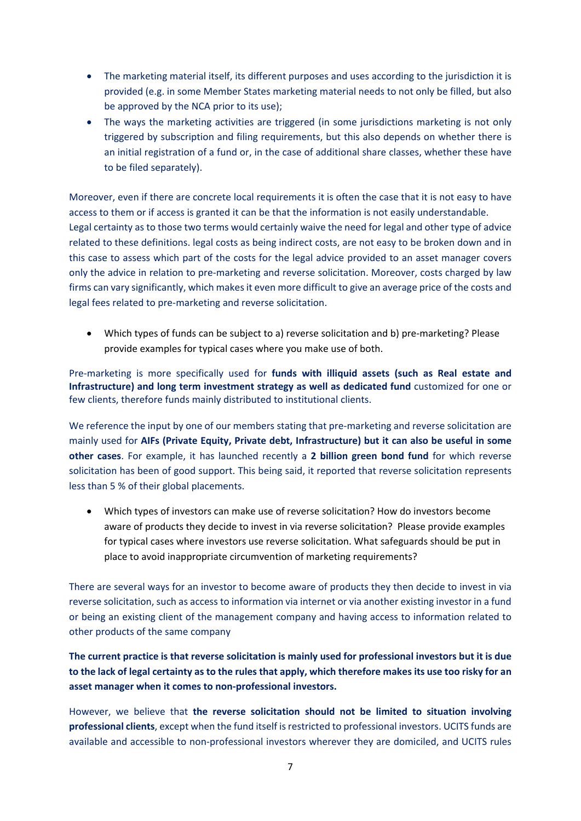- The marketing material itself, its different purposes and uses according to the jurisdiction it is provided (e.g. in some Member States marketing material needs to not only be filled, but also be approved by the NCA prior to its use);
- The ways the marketing activities are triggered (in some jurisdictions marketing is not only triggered by subscription and filing requirements, but this also depends on whether there is an initial registration of a fund or, in the case of additional share classes, whether these have to be filed separately).

Moreover, even if there are concrete local requirements it is often the case that it is not easy to have access to them or if access is granted it can be that the information is not easily understandable. Legal certainty as to those two terms would certainly waive the need for legal and other type of advice related to these definitions. legal costs as being indirect costs, are not easy to be broken down and in this case to assess which part of the costs for the legal advice provided to an asset manager covers only the advice in relation to pre‐marketing and reverse solicitation. Moreover, costs charged by law firms can vary significantly, which makes it even more difficult to give an average price of the costs and legal fees related to pre‐marketing and reverse solicitation.

● Which types of funds can be subject to a) reverse solicitation and b) pre-marketing? Please provide examples for typical cases where you make use of both.

Pre-marketing is more specifically used for **funds with illiquid assets (such as Real estate and Infrastructure) and long term investment strategy as well as dedicated fund** customized for one or few clients, therefore funds mainly distributed to institutional clients.

We reference the input by one of our members stating that pre-marketing and reverse solicitation are mainly used for **AIFs (Private Equity, Private debt, Infrastructure) but it can also be useful in some other cases**. For example, it has launched recently a **2 billion green bond fund** for which reverse solicitation has been of good support. This being said, it reported that reverse solicitation represents less than 5 % of their global placements.

 Which types of investors can make use of reverse solicitation? How do investors become aware of products they decide to invest in via reverse solicitation? Please provide examples for typical cases where investors use reverse solicitation. What safeguards should be put in place to avoid inappropriate circumvention of marketing requirements?

There are several ways for an investor to become aware of products they then decide to invest in via reverse solicitation, such as access to information via internet or via another existing investor in a fund or being an existing client of the management company and having access to information related to other products of the same company

**The current practice is that reverse solicitation is mainly used for professional investors but it is due to the lack of legal certainty as to the rules that apply, which therefore makes its use too risky for an asset manager when it comes to non‐professional investors.** 

However, we believe that **the reverse solicitation should not be limited to situation involving professional clients**, except when the fund itself is restricted to professional investors. UCITS funds are available and accessible to non‐professional investors wherever they are domiciled, and UCITS rules